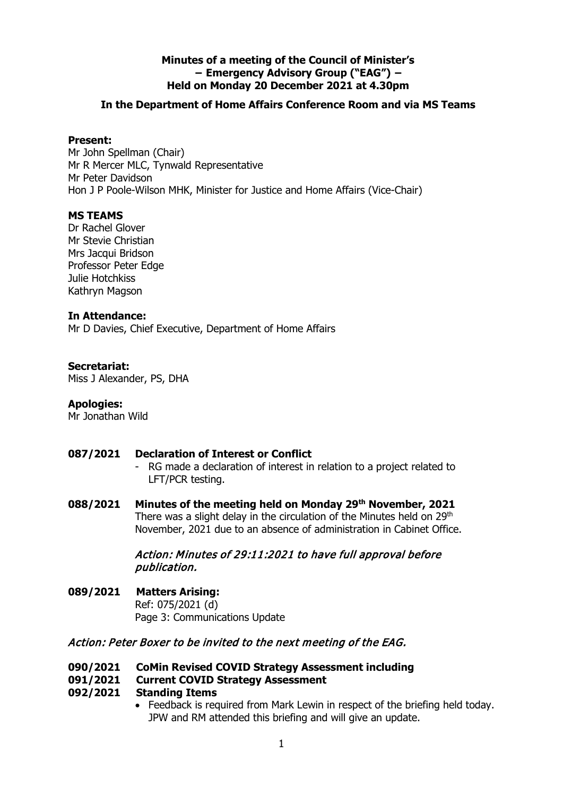# **Minutes of a meeting of the Council of Minister's − Emergency Advisory Group ("EAG") − Held on Monday 20 December 2021 at 4.30pm**

# **In the Department of Home Affairs Conference Room and via MS Teams**

## **Present:**

Mr John Spellman (Chair) Mr R Mercer MLC, Tynwald Representative Mr Peter Davidson Hon J P Poole-Wilson MHK, Minister for Justice and Home Affairs (Vice-Chair)

## **MS TEAMS**

Dr Rachel Glover Mr Stevie Christian Mrs Jacqui Bridson Professor Peter Edge Julie Hotchkiss Kathryn Magson

#### **In Attendance:**

Mr D Davies, Chief Executive, Department of Home Affairs

#### **Secretariat:**

Miss J Alexander, PS, DHA

#### **Apologies:**

Mr Jonathan Wild

## **087/2021 Declaration of Interest or Conflict**

- RG made a declaration of interest in relation to a project related to LFT/PCR testing.
- **088/2021 Minutes of the meeting held on Monday 29th November, 2021** There was a slight delay in the circulation of the Minutes held on 29<sup>th</sup> November, 2021 due to an absence of administration in Cabinet Office.

## Action: Minutes of 29:11:2021 to have full approval before publication.

**089/2021 Matters Arising:** Ref: 075/2021 (d) Page 3: Communications Update

## Action: Peter Boxer to be invited to the next meeting of the EAG.

**090/2021 CoMin Revised COVID Strategy Assessment including**

## **091/2021 Current COVID Strategy Assessment**

#### **092/2021 Standing Items**

• Feedback is required from Mark Lewin in respect of the briefing held today. JPW and RM attended this briefing and will give an update.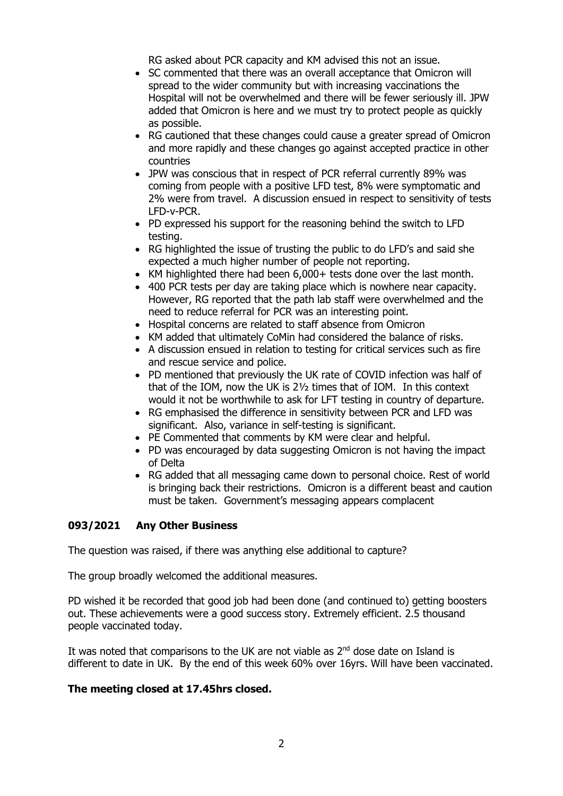RG asked about PCR capacity and KM advised this not an issue.

- SC commented that there was an overall acceptance that Omicron will spread to the wider community but with increasing vaccinations the Hospital will not be overwhelmed and there will be fewer seriously ill. JPW added that Omicron is here and we must try to protect people as quickly as possible.
- RG cautioned that these changes could cause a greater spread of Omicron and more rapidly and these changes go against accepted practice in other countries
- JPW was conscious that in respect of PCR referral currently 89% was coming from people with a positive LFD test, 8% were symptomatic and 2% were from travel. A discussion ensued in respect to sensitivity of tests LFD-v-PCR.
- PD expressed his support for the reasoning behind the switch to LFD testing.
- RG highlighted the issue of trusting the public to do LFD's and said she expected a much higher number of people not reporting.
- KM highlighted there had been 6,000+ tests done over the last month.
- 400 PCR tests per day are taking place which is nowhere near capacity. However, RG reported that the path lab staff were overwhelmed and the need to reduce referral for PCR was an interesting point.
- Hospital concerns are related to staff absence from Omicron
- KM added that ultimately CoMin had considered the balance of risks.
- A discussion ensued in relation to testing for critical services such as fire and rescue service and police.
- PD mentioned that previously the UK rate of COVID infection was half of that of the IOM, now the UK is 2½ times that of IOM. In this context would it not be worthwhile to ask for LFT testing in country of departure.
- RG emphasised the difference in sensitivity between PCR and LFD was significant. Also, variance in self-testing is significant.
- PE Commented that comments by KM were clear and helpful.
- PD was encouraged by data suggesting Omicron is not having the impact of Delta
- RG added that all messaging came down to personal choice. Rest of world is bringing back their restrictions. Omicron is a different beast and caution must be taken. Government's messaging appears complacent

## **093/2021 Any Other Business**

The question was raised, if there was anything else additional to capture?

The group broadly welcomed the additional measures.

PD wished it be recorded that good job had been done (and continued to) getting boosters out. These achievements were a good success story. Extremely efficient. 2.5 thousand people vaccinated today.

It was noted that comparisons to the UK are not viable as  $2<sup>nd</sup>$  dose date on Island is different to date in UK. By the end of this week 60% over 16yrs. Will have been vaccinated.

## **The meeting closed at 17.45hrs closed.**